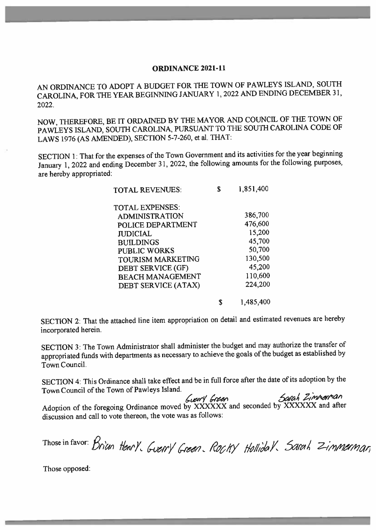#### **ORDINANCE 2021-11**

AN ORDINANCE TO ADOPT A BUDGET FOR THE TOWN OF PAWLEYS ISLAND, SOUTH CAROLINA, FOR THE YEAR BEGINNING JANUARY 1, 2022 AND ENDING DECEMBER 31, 2022.

NOW, THEREFORE, BE IT ORDAINED BY THE MAYOR AND COUNCIL OF THE TOWN OF PAWLEYS ISLAND, SOUTH CAROLINA, PURSUANT TO THE SOUTH CAROLINA CODE OF LAWS 1976 (AS AMENDED), SECTION 5-7-260, et al. THAT:

SECTION 1: That for the expenses of the Town Government and its activities for the year beginning January 1, 2022 and ending December 31, 2022, the following amounts for the following purposes, are hereby appropriated:

| <b>TOTAL REVENUES:</b>   | \$<br>1,851,400 |
|--------------------------|-----------------|
| <b>TOTAL EXPENSES:</b>   |                 |
| <b>ADMINISTRATION</b>    | 386,700         |
| POLICE DEPARTMENT        | 476,600         |
| <b>JUDICIAL</b>          | 15,200          |
| <b>BUILDINGS</b>         | 45,700          |
| <b>PUBLIC WORKS</b>      | 50,700          |
| <b>TOURISM MARKETING</b> | 130,500         |
| DEBT SERVICE (GF)        | 45,200          |
| <b>BEACH MANAGEMENT</b>  | 110,600         |
| DEBT SERVICE (ATAX)      | 224,200         |
|                          | 1,485,400       |

SECTION 2: That the attached line item appropriation on detail and estimated revenues are hereby incorporated herein.

SECTION 3: The Town Administrator shall administer the budget and may authorize the transfer of appropriated funds with departments as necessary to achieve the goals of the budget as established by Town Council.

SECTION 4: This Ordinance shall take effect and be in full force after the date of its adoption by the Town Council of the Town of Pawleys Island.

Adoption of the foregoing Ordinance moved by XXXXXX and seconded by XXXXXX and after discussion and call to vote thereon, the vote was as follows:

Those in favor: Brian Henry, Guerry Green, Rocky Hollidal, Sarah Zimmerman

Those opposed: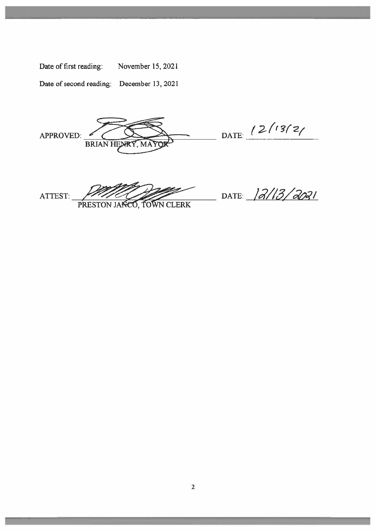| Date of first reading:                    | November 15, 2021 |
|-------------------------------------------|-------------------|
| Date of second reading: December 13, 2021 |                   |

APPROVED:

DATE: 12/13/2/

ATTEST:

PRESTON JANCO, TOWN CLERK

BRIAN HEMRY, MAY

DATE: 12/13/2021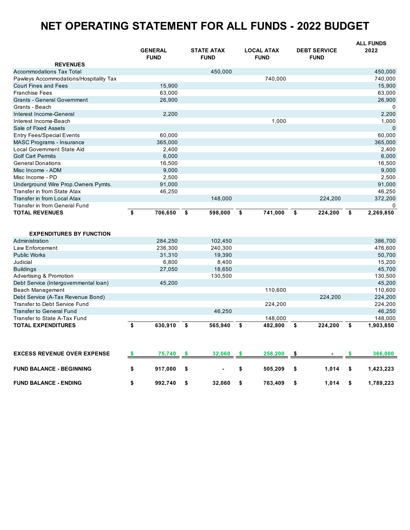# **NET OPERATING STATEMENT FOR ALL FUNDS - 2022 BUDGET**

|                                        | <b>GENERAL</b> | <b>STATE ATAX</b> | <b>LOCAL ATAX</b> | <b>DEBT SERVICE</b> | <b>ALL FUNDS</b><br>2022 |
|----------------------------------------|----------------|-------------------|-------------------|---------------------|--------------------------|
| <b>REVENUES</b>                        | <b>FUND</b>    | <b>FUND</b>       | <b>FUND</b>       | <b>FUND</b>         |                          |
| <b>Accommodations Tax Total</b>        |                | 450,000           |                   |                     | 450,000                  |
| Pawleys Accommodations/Hospitality Tax |                |                   | 740,000           |                     | 740,000                  |
| Court Fines and Fees                   | 15,900         |                   |                   |                     | 15,900                   |
| <b>Franchise Fees</b>                  | 63,000         |                   |                   |                     | 63,000                   |
| <b>Grants - General Government</b>     | 26,900         |                   |                   |                     | 26,900                   |
| Grants - Beach                         |                |                   |                   |                     | 0                        |
| Interest Income-General                | 2,200          |                   |                   |                     | 2,200                    |
| Interest Income-Beach                  |                |                   | 1,000             |                     | 1,000                    |
| Sale of Fixed Assets                   |                |                   |                   |                     | $\Omega$                 |
| <b>Entry Fees/Special Events</b>       | 60,000         |                   |                   |                     | 60,000                   |
| MASC Programs - Insurance              | 365,000        |                   |                   |                     | 365,000                  |
| Local Government State Aid             | 2.400          |                   |                   |                     | 2,400                    |
| <b>Golf Cart Permits</b>               | 6,000          |                   |                   |                     | 6,000                    |
| <b>General Donations</b>               | 16,500         |                   |                   |                     | 16,500                   |
| Misc Income - ADM                      | 9,000          |                   |                   |                     | 9,000                    |
| Misc Income - PD                       | 2,500          |                   |                   |                     | 2,500                    |
| Underground Wire Prop.Owners Pymts.    | 91,000         |                   |                   |                     | 91,000                   |
| Transfer in from State Atax            | 46,250         |                   |                   |                     | 46,250                   |
| Transfer in from Local Atax            |                | 148,000           |                   | 224,200             | 372,200                  |
| Transfer in from General Fund          |                |                   |                   |                     | 0                        |
| <b>TOTAL REVENUES</b>                  | \$<br>706,650  | \$<br>598,000     | 741,000<br>\$     | \$<br>224,200       | -\$<br>2,269,850         |
|                                        |                |                   |                   |                     |                          |

| <b>EXPENDITURES BY FUNCTION</b>       |         |   |         |         |         |   |           |
|---------------------------------------|---------|---|---------|---------|---------|---|-----------|
| Administration                        | 284.250 |   | 102.450 |         |         |   | 386,700   |
| Law Enforcement                       | 236,300 |   | 240.300 |         |         |   | 476,600   |
| <b>Public Works</b>                   | 31.310  |   | 19,390  |         |         |   | 50,700    |
| Judicial                              | 6.800   |   | 8.400   |         |         |   | 15.200    |
| <b>Buildings</b>                      | 27,050  |   | 18.650  |         |         |   | 45,700    |
| Advertising & Promotion               |         |   | 130.500 |         |         |   | 130,500   |
| Debt Service (Intergovernmental loan) | 45.200  |   |         |         |         |   | 45,200    |
| Beach Management                      |         |   |         | 110,600 |         |   | 110,600   |
| Debt Service (A-Tax Revenue Bond)     |         |   |         |         | 224.200 |   | 224,200   |
| Transfer to Debt Service Fund         |         |   |         | 224.200 |         |   | 224,200   |
| <b>Transfer to General Fund</b>       |         |   | 46.250  |         |         |   | 46,250    |
| Transfer to State A-Tax Fund          |         |   |         | 148.000 |         |   | 148,000   |
| <b>TOTAL EXPENDITURES</b>             | 630.910 | S | 565.940 | 482.800 | 224.200 | S | 1,903,850 |

| <b>EXCESS REVENUE OVER EXPENSE</b> | 75.740  | 32.060 | 258,200 | ж.    | 366,000   |
|------------------------------------|---------|--------|---------|-------|-----------|
| <b>FUND BALANCE - BEGINNING</b>    | 917.000 | $\sim$ | 505.209 | 1.014 | 1.423.223 |
| <b>FUND BALANCE - ENDING</b>       | 992.740 | 32.060 | 763.409 | 1.014 | .789.223  |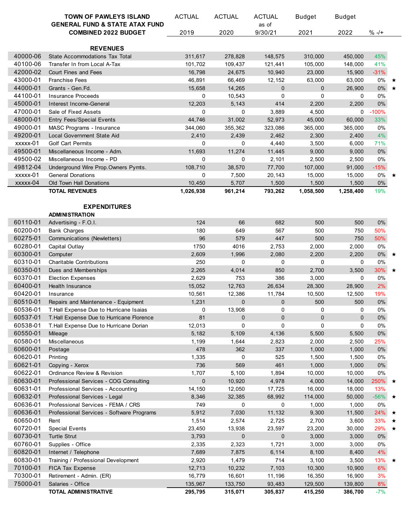|          | <b>TOWN OF PAWLEYS ISLAND</b><br><b>GENERAL FUND &amp; STATE ATAX FUND</b> | <b>ACTUAL</b> | <b>ACTUAL</b> | <b>ACTUAL</b>    | <b>Budget</b> | <b>Budget</b> |                 |  |
|----------|----------------------------------------------------------------------------|---------------|---------------|------------------|---------------|---------------|-----------------|--|
|          | <b>COMBINED 2022 BUDGET</b>                                                | 2019          | 2020          | as of<br>9/30/21 | 2021          | 2022          | $% -/+$         |  |
|          | <b>REVENUES</b>                                                            |               |               |                  |               |               |                 |  |
| 40000-06 | State Accommodations Tax Total                                             | 311,617       | 278,828       | 148,575          | 310,000       | 450,000       | 45%             |  |
| 40100-06 | Transfer In from Local A-Tax                                               | 101,702       | 109,437       | 121,441          | 105,000       | 148,000       | 41%             |  |
| 42000-02 | Court Fines and Fees                                                       | 16,798        | 24,675        | 10,940           | 23,000        | 15,900        | $-31%$          |  |
|          | <b>Franchise Fees</b>                                                      |               |               |                  |               |               |                 |  |
| 43000-01 |                                                                            | 46,891        | 66,469        | 12,152           | 63,000        | 63,000        | $0\%$ $\star$   |  |
| 44000-01 | Grants - Gen.Fd.                                                           | 15,658        | 14,265        | 0                | $\pmb{0}$     | 26,900        | 0% ★            |  |
| 44100-01 | <b>Insurance Proceeds</b>                                                  | 0             | 10,543        | 0                | $\mathbf 0$   | 0             | $0\%$           |  |
| 45000-01 | Interest Income-General                                                    | 12,203        | 5,143         | 414              | 2,200         | 2,200         | $0\%$           |  |
| 47000-01 | Sale of Fixed Assets                                                       | 0             | 0             | 3,889            | 4,500         | 0             | $-100%$         |  |
| 48000-01 | <b>Entry Fees/Special Events</b>                                           | 44,746        | 31,002        | 52,973           | 45,000        | 60,000        | 33%             |  |
| 49000-01 | MASC Programs - Insurance                                                  | 344,060       | 355,362       | 323,086          | 365,000       | 365,000       | 0%              |  |
| 49200-01 | Local Government State Aid                                                 | 2,410         | 2,439         | 2,462            | 2,300         | 2,400         | 4%              |  |
| xxxxx-01 | <b>Golf Cart Permits</b>                                                   | 0             | 0             | 4,440            | 3,500         | 6,000         | 71%             |  |
| 49500-01 | Miscellaneous Income - Adm.                                                | 11,693        | 11,274        | 11,445           | 9,000         | 9,000         | $0\%$           |  |
| 49500-02 | Miscellaneous Income - PD                                                  | 0             | 0             | 2,101            | 2,500         | 2,500         | $0\%$           |  |
| 49812-04 | Underground Wire Prop.Owners Pymts.                                        | 108,710       | 38,570        | 77,700           | 107,000       | 91,000        | $-15%$          |  |
| xxxxx-01 | <b>General Donations</b>                                                   | 0             | 7,500         | 20,143           | 15,000        | 15,000        | $0\%$ $\star$   |  |
| xxxxx-04 | Old Town Hall Donations                                                    | 10,450        | 5,707         | 1,500            | 1,500         | 1,500         | $0\%$           |  |
|          | <b>TOTAL REVENUES</b>                                                      | 1,026,938     | 961,214       | 793,262          | 1,058,500     | 1,258,400     | 19%             |  |
|          |                                                                            |               |               |                  |               |               |                 |  |
|          | <b>EXPENDITURES</b>                                                        |               |               |                  |               |               |                 |  |
|          | <b>ADMINISTRATION</b>                                                      |               |               |                  |               |               |                 |  |
| 60110-01 | Advertising - F.O.I.                                                       | 124           | 66            | 682              | 500           | 500           | $0\%$           |  |
| 60200-01 | <b>Bank Charges</b>                                                        | 180           | 649           | 567              | 500           | 750           | 50%             |  |
| 60275-01 | Communications (Newletters)                                                | 96            | 579           | 447              | 500           | 750           | 50%             |  |
| 60280-01 | Capital Outlay                                                             | 1750          | 4016          | 2,753            | 2,000         | 2,000         | 0%              |  |
| 60300-01 | Computer                                                                   | 2,609         | 1,996         | 2,080            | 2,200         | 2,200         | $0\%$ $\star$   |  |
| 60310-01 | <b>Charitable Contributions</b>                                            | 250           | 0             | 0                | 0             | 0             | 0%              |  |
| 60350-01 | Dues and Memberships                                                       | 2,265         | 4,014         | 850              | 2,700         | 3,500         | 30% ★           |  |
| 60370-01 | <b>Election Expenses</b>                                                   | 2,629         | 753           | 386              | 3,000         | 0             | 0%              |  |
| 60400-01 | <b>Health Insurance</b>                                                    | 15,052        | 12,763        | 26,634           | 28,300        | 28,900        | 2%              |  |
| 60420-01 | Insurance                                                                  | 10,561        | 12,386        | 11,784           | 10,500        | 12,500        | 19%             |  |
| 60510-01 | Repairs and Maintenance - Equipment                                        | 1,231         | 0             | $\mathbf 0$      | 500           | 500           | $0\%$           |  |
| 60536-01 | T. Hall Expense Due to Hurricane Isaias                                    | 0             | 13,908        | 0                | 0             | 0             | 0%              |  |
| 60537-01 | T. Hall Expense Due to Hurricane Florence                                  | 81            | 0             | 0                | $\pmb{0}$     | $\mathbf 0$   | $0\%$           |  |
| 60538-01 | T. Hall Expense Due to Hurricane Dorian                                    | 12,013        | 0             | 0                | $\mathbf 0$   | 0             | 0%              |  |
| 60550-01 | Mileage                                                                    | 5,182         | 5,109         | 4,136            | 5,500         | 5,500         | $0\%$           |  |
| 60580-01 | Miscellaneous                                                              | 1,199         | 1,644         | 2,823            | 2,000         | 2,500         | 25%             |  |
| 60600-01 | Postage                                                                    | 478           | 362           | 337              | 1,000         | 1,000         | $0\%$           |  |
| 60620-01 | Printing                                                                   | 1,335         | 0             | 525              | 1,500         | 1,500         | 0%              |  |
| 60621-01 | Copying - Xerox                                                            | 736           | 569           | 461              | 1,000         | 1,000         | $0\%$           |  |
| 60622-01 | Ordinance Review & Revision                                                | 1,707         | 5,100         | 1,894            | 10,000        | 10,000        | $0\%$           |  |
| 60630-01 |                                                                            | 0             |               | 4,978            | 4,000         |               | 250% ★          |  |
| 60631-01 | Professional Services - COG Consulting                                     |               | 10,920        |                  |               | 14,000        |                 |  |
|          | Professional Services - Accounting                                         | 14,150        | 12,050        | 17,725           | 16,000        | 18,000        | 13%             |  |
| 60632-01 | Professional Services - Legal                                              | 8,346         | 32,385        | 68,992           | 114,000       | 50,000        | $-56\%$ $\star$ |  |
| 60636-01 | Professional Services - FEMA / CRS                                         | 749           | 0             | 0                | 1,000         | 1,000         | 0%              |  |
| 60636-01 | Professional Services - Software Programs                                  | 5,912         | 7,030         | 11,132           | 9,300         | 11,500        | 24%             |  |
| 60650-01 | Rent                                                                       | 1,514         | 2,574         | 2,725            | 2,700         | 3,600         | 33% $\star$     |  |
| 60720-01 | <b>Special Events</b>                                                      | 23,450        | 13,938        | 23,597           | 23,200        | 30,000        | 29% ★           |  |
| 60730-01 | <b>Turtle Strut</b>                                                        | 3,793         | 0             | $\mathbf 0$      | 3,000         | 3,000         | $0\%$           |  |
| 60760-01 | Supplies - Office                                                          | 2,335         | 2,323         | 1,721            | 3,000         | 3,000         | 0%              |  |
| 60820-01 | Internet / Telephone                                                       | 7,689         | 7,875         | 6,114            | 8,100         | 8,400         | 4%              |  |
| 60830-01 | Training / Professional Development                                        | 2,920         | 1,479         | 714              | 3,100         | 3,500         | 13% ★           |  |
| 70100-01 | FICA Tax Expense                                                           | 12,713        | 10,232        | 7,103            | 10,300        | 10,900        | 6%              |  |
| 70300-01 | Retirement - Admin. (ER)                                                   | 16,779        | 16,601        | 11,196           | 16,350        | 16,900        | 3%              |  |
| 75000-01 | Salaries - Office                                                          | 135,967       | 133,750       | 93,483           | 129,500       | 139,800       | 8%              |  |
|          | TOTAL ADMINISTRATIVE                                                       | 295,795       | 315,071       | 305,837          | 415,250       | 386,700       | $-7%$           |  |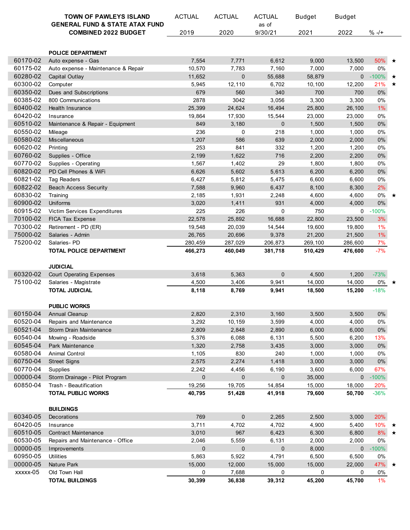|          | <b>TOWN OF PAWLEYS ISLAND</b>                                            | <b>ACTUAL</b> | <b>ACTUAL</b> | <b>ACTUAL</b> | <b>Budget</b> | <b>Budget</b> |         |         |
|----------|--------------------------------------------------------------------------|---------------|---------------|---------------|---------------|---------------|---------|---------|
|          | <b>GENERAL FUND &amp; STATE ATAX FUND</b><br><b>COMBINED 2022 BUDGET</b> |               |               | as of         |               |               |         |         |
|          |                                                                          | 2019          | 2020          | 9/30/21       | 2021          | 2022          | $% -/+$ |         |
|          |                                                                          |               |               |               |               |               |         |         |
|          | <b>POLICE DEPARTMENT</b>                                                 |               |               |               |               |               |         |         |
| 60170-02 | Auto expense - Gas                                                       | 7,554         | 7,771         | 6,612         | 9,000         | 13,500        | 50% ★   |         |
| 60175-02 | Auto expense - Maintenance & Repair                                      | 10,570        | 7,783         | 7,160         | 7,000         | 7,000         | 0%      |         |
| 60280-02 | Capital Outlay                                                           | 11,652        | 0             | 55,688        | 58,879        | $\mathbf{0}$  | $-100%$ | ★       |
| 60300-02 | Computer                                                                 | 5,945         | 12,110        | 6,702         | 10,100        | 12,200        | 21%     | $\star$ |
| 60350-02 | Dues and Subscriptions                                                   | 679           | 560           | 340           | 700           | 700           | $0\%$   |         |
| 60385-02 | 800 Communications                                                       | 2878          | 3042          | 3,056         | 3,300         | 3,300         | 0%      |         |
| 60400-02 | <b>Health Insurance</b>                                                  | 25,399        | 24,624        | 16,494        | 25,800        | 26,100        | $1\%$   |         |
| 60420-02 | Insurance                                                                | 19,864        | 17,930        | 15,544        | 23,000        | 23,000        | 0%      |         |
| 60510-02 | Maintenance & Repair - Equipment                                         | 849           | 3,180         | $\mathbf 0$   | 1,500         | 1,500         | $0\%$   |         |
| 60550-02 | Mileage                                                                  | 236           | 0             | 218           | 1,000         | 1,000         | 0%      |         |
| 60580-02 | Miscellaneous                                                            | 1,207         | 586           | 639           | 2,000         | 2,000         | $0\%$   |         |
| 60620-02 | Printing                                                                 | 253           | 841           | 332           | 1,200         | 1,200         | 0%      |         |
| 60760-02 | Supplies - Office                                                        | 2,199         | 1,622         | 716           | 2,200         | 2,200         | $0\%$   |         |
| 60770-02 | Supplies - Operating                                                     | 1,567         | 1,402         | 29            | 1,800         | 1,800         | 0%      |         |
| 60820-02 | PD Cell Phones & WiFi                                                    | 6,626         | 5,602         | 5,613         | 6,200         | 6,200         | $0\%$   |         |
| 60821-02 | <b>Tag Readers</b>                                                       | 6,427         | 5,812         | 5,475         | 6,600         | 6,600         | 0%      |         |
| 60822-02 | <b>Beach Access Security</b>                                             | 7,588         | 9,960         | 6,437         | 8,100         | 8,300         | 2%      |         |
| 60830-02 | Training                                                                 | 2,185         | 1,931         | 2,248         | 4,600         | 4,600         | 0%      | ★       |
| 60900-02 | Uniforms                                                                 | 3,020         | 1,411         | 931           | 4,000         | 4,000         | $0\%$   |         |
| 60915-02 | Victim Services Expenditures                                             | 225           | 226           | $\mathbf 0$   | 750           | 0             | $-100%$ |         |
| 70100-02 | FICA Tax Expense                                                         | 22,578        | 25,892        | 16,688        | 22,800        | 23,500        | 3%      |         |
| 70300-02 | Retirement - PD (ER)                                                     | 19,548        | 20,039        | 14,544        | 19,600        | 19,800        | $1\%$   |         |
| 75000-02 | Salaries - Admin                                                         | 26,765        | 20,696        | 9,378         | 21,200        | 21,500        | $1\%$   |         |
| 75200-02 | Salaries-PD                                                              | 280,459       | 287,029       | 206,873       | 269,100       | 286,600       | 7%      |         |
|          | TOTAL POLICE DEPARTMENT                                                  | 466,273       | 460,049       | 381,718       | 510,429       | 476,600       | $-7%$   |         |
|          |                                                                          |               |               |               |               |               |         |         |
|          | <b>JUDICIAL</b>                                                          |               |               |               |               |               |         |         |
| 60320-02 | <b>Court Operating Expenses</b>                                          | 3,618         | 5,363         | $\mathbf 0$   | 4,500         | 1,200         | $-73%$  |         |
| 75100-02 | Salaries - Magistrate                                                    | 4,500         | 3,406         | 9,941         | 14,000        | 14,000        | 0%      |         |
|          | <b>TOTAL JUDICIAL</b>                                                    | 8,118         | 8,769         | 9,941         | 18,500        | 15,200        | $-18%$  |         |
|          |                                                                          |               |               |               |               |               |         |         |
|          | <b>PUBLIC WORKS</b>                                                      |               |               |               |               |               |         |         |
|          | 60150-04 Annual Cleanup                                                  | 2,820         | 2,310         | 3,160         | 3,500         | 3,500         | $0\%$   |         |
| 60520-04 | Repairs and Maintenance                                                  | 3,292         | 10,159        | 3,599         | 4,000         | 4,000         | 0%      |         |
| 60521-04 | Storm Drain Maintenance                                                  | 2,809         | 2,848         | 2,890         | 6,000         | 6,000         | $0\%$   |         |
| 60540-04 | Mowing - Roadside                                                        | 5,376         | 6,088         | 6,131         | 5,500         | 6,200         | 13%     |         |
| 60545-04 | Park Maintenance                                                         | 1,320         | 2,758         | 3,435         | 3,000         | 3,000         | $0\%$   |         |
| 60580-04 | Animal Control                                                           | 1,105         | 830           | 240           | 1,000         | 1,000         | $0\%$   |         |
| 60750-04 | <b>Street Signs</b>                                                      | 2,575         | 2,274         | 1,418         | 3,000         | 3,000         | $0\%$   |         |
| 60770-04 | Supplies                                                                 | 2,242         | 4,456         | 6,190         | 3,600         | 6,000         | 67%     |         |
| 00000-04 | Storm Drainage - Pilot Program                                           | $\pmb{0}$     | 0             | $\mathbf 0$   | 35,000        | 0             | $-100%$ |         |
| 60850-04 | Trash - Beautification                                                   | 19,256        | 19,705        | 14,854        | 15,000        | 18,000        | 20%     |         |
|          | <b>TOTAL PUBLIC WORKS</b>                                                | 40,795        | 51,428        | 41,918        | 79,600        | 50,700        | $-36%$  |         |
|          |                                                                          |               |               |               |               |               |         |         |
|          | <b>BUILDINGS</b>                                                         |               |               |               |               |               |         |         |
| 60340-05 | Decorations                                                              | 769           | 0             | 2,265         | 2,500         | 3,000         | 20%     |         |
| 60420-05 | Insurance                                                                | 3,711         | 4,702         | 4,702         | 4,900         | 5,400         | 10%     | ★       |
| 60510-05 | <b>Contract Maintenance</b>                                              | 3,010         | 967           | 6,423         | 6,300         | 6,800         | 8% ★    |         |
| 60530-05 | Repairs and Maintenance - Office                                         | 2,046         | 5,559         | 6,131         | 2,000         | 2,000         | 0%      |         |
| 00000-05 | Improvements                                                             | $\mathbf 0$   | $\mathbf{0}$  | $\mathbf 0$   | 8,000         | $\mathbf{0}$  | $-100%$ |         |
| 60950-05 | <b>Utilities</b>                                                         | 5,863         | 5,922         | 4,791         | 6,500         | 6,500         | 0%      |         |
| 00000-05 | Nature Park                                                              | 15,000        | 12,000        | 15,000        | 15,000        | 22,000        | 47%     |         |
| xxxxx-05 | Old Town Hall                                                            | 0             | 7,688         | 0             | 0             | 0             | 0%      |         |
|          | <b>TOTAL BUILDINGS</b>                                                   | 30,399        | 36,838        | 39,312        | 45,200        | 45,700        | 1%      |         |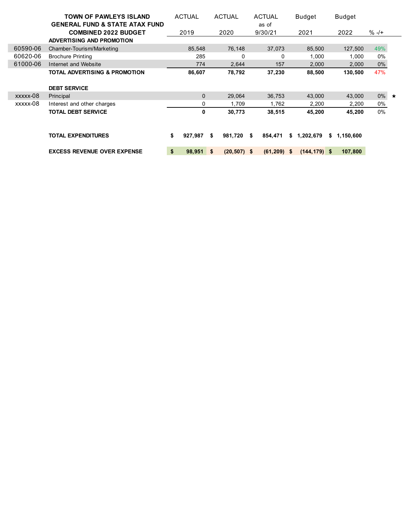|          | <b>TOWN OF PAWLEYS ISLAND</b>             | <b>ACTUAL</b>    | <b>ACTUAL</b>  | <b>ACTUAL</b>  | <b>Budget</b>   | <b>Budget</b>   |               |  |
|----------|-------------------------------------------|------------------|----------------|----------------|-----------------|-----------------|---------------|--|
|          | <b>GENERAL FUND &amp; STATE ATAX FUND</b> |                  |                | as of          |                 |                 |               |  |
|          | <b>COMBINED 2022 BUDGET</b>               | 2019             | 2020           | 9/30/21        | 2021            | 2022            | $% -/+$       |  |
|          | <b>ADVERTISING AND PROMOTION</b>          |                  |                |                |                 |                 |               |  |
| 60590-06 | Chamber-Tourism/Marketing                 | 85,548           | 76,148         | 37,073         | 85,500          | 127,500         | 49%           |  |
| 60620-06 | <b>Brochure Printing</b>                  | 285              | 0              | $\Omega$       | 1,000           | 1,000           | $0\%$         |  |
| 61000-06 | Internet and Website                      | 774              | 2,644          | 157            | 2,000           | 2,000           | $0\%$         |  |
|          | <b>TOTAL ADVERTISING &amp; PROMOTION</b>  | 86,607           | 78,792         | 37,230         | 88,500          | 130,500         | 47%           |  |
|          | <b>DEBT SERVICE</b>                       |                  |                |                |                 |                 |               |  |
| xxxxx-08 | Principal                                 | $\mathbf{0}$     | 29,064         | 36,753         | 43,000          | 43,000          | $0\%$ $\star$ |  |
| xxxxx-08 | Interest and other charges                | 0                | 1.709          | 1.762          | 2,200           | 2,200           | 0%            |  |
|          | <b>TOTAL DEBT SERVICE</b>                 | 0                | 30,773         | 38,515         | 45,200          | 45,200          | $0\%$         |  |
|          | <b>TOTAL EXPENDITURES</b>                 | \$<br>927,987 \$ | 981,720        | 854.471<br>Ŝ.  | 1,202,679<br>\$ | 1,150,600<br>s. |               |  |
|          |                                           |                  |                |                |                 |                 |               |  |
|          | <b>EXCESS REVENUE OVER EXPENSE</b>        | \$<br>98,951 \$  | $(20, 507)$ \$ | $(61, 209)$ \$ | $(144, 179)$ \$ | 107,800         |               |  |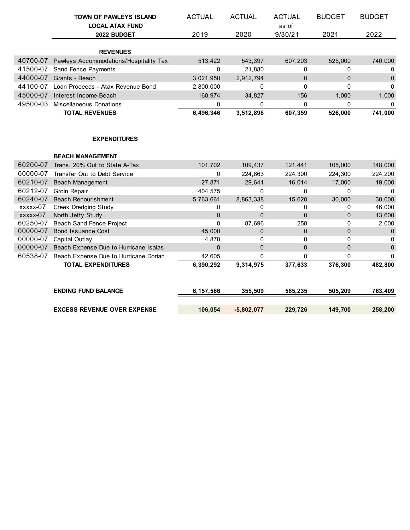|          | TOWN OF PAWLEYS ISLAND                 | <b>ACTUAL</b> | <b>ACTUAL</b>  | <b>ACTUAL</b> | <b>BUDGET</b> | <b>BUDGET</b> |
|----------|----------------------------------------|---------------|----------------|---------------|---------------|---------------|
|          | <b>LOCAL ATAX FUND</b>                 |               |                | as of         |               |               |
|          | 2022 BUDGET                            | 2019          | 2020           | 9/30/21       | 2021          | 2022          |
|          |                                        |               |                |               |               |               |
|          | <b>REVENUES</b>                        |               |                |               |               |               |
| 40700-07 | Pawleys Accommodations/Hospitality Tax | 513,422       | 543,397        | 607,203       | 525,000       | 740,000       |
| 41500-07 | Sand Fence Payments                    | 0             | 21,880         | 0             | 0             | 0             |
| 44000-07 | Grants - Beach                         | 3,021,950     | 2,912,794      | $\mathbf{0}$  | $\mathbf 0$   | 0             |
| 44100-07 | Loan Proceeds - Atax Revenue Bond      | 2,800,000     | 0              | 0             | $\Omega$      | $\pmb{0}$     |
| 45000-07 | Interest Income-Beach                  | 160,974       | 34,827         | 156           | 1,000         | 1,000         |
| 49500-03 | Miscellaneous Donations                | 0             | 0              | 0             | 0             | $\mathbf 0$   |
|          | <b>TOTAL REVENUES</b>                  | 6,496,346     | 3,512,898      | 607,359       | 526,000       | 741,000       |
|          |                                        |               |                |               |               |               |
|          |                                        |               |                |               |               |               |
|          | <b>EXPENDITURES</b>                    |               |                |               |               |               |
|          |                                        |               |                |               |               |               |
|          | <b>BEACH MANAGEMENT</b>                |               |                |               |               |               |
| 60200-07 | Trans. 20% Out to State A-Tax          | 101,702       | 109,437        | 121,441       | 105,000       | 148,000       |
| 00000-07 | Transfer Out to Debt Service           | 0             | 224,863        | 224,300       | 224,300       | 224,200       |
| 60210-07 | Beach Management                       | 27,871        | 29,641         | 16,014        | 17,000        | 19,000        |
| 60212-07 | Groin Repair                           | 404,575       | $\mathbf{0}$   | $\Omega$      | $\mathbf 0$   | $\mathbf 0$   |
| 60240-07 | <b>Beach Renourishment</b>             | 5,763,661     | 8,863,338      | 15,620        | 30,000        | 30,000        |
| xxxxx-07 | Creek Dredging Study                   | 0             | 0              | 0             | 0             | 46,000        |
| xxxxx-07 | North Jetty Study                      | $\mathbf 0$   | $\overline{0}$ | $\mathbf 0$   | $\mathbf{0}$  | 13,600        |
| 60250-07 | Beach Sand Fence Project               | $\mathbf{0}$  | 87,696         | 258           | $\Omega$      | 2,000         |
| 00000-07 | <b>Bond Issuance Cost</b>              | 45,000        | 0              | $\mathbf{0}$  | $\mathbf{0}$  | 0             |
| 00000-07 | Capital Outlay                         | 4,878         | 0              | $\Omega$      | $\mathbf 0$   | 0             |
| 00000-07 | Beach Expense Due to Hurricane Isaias  | $\mathbf{0}$  | $\mathbf 0$    | $\mathbf 0$   | $\mathbf{0}$  | $\pmb{0}$     |
| 60538-07 | Beach Expense Due to Hurricane Dorian  | 42,605        | $\mathbf{0}$   | 0             | $\Omega$      | $\pmb{0}$     |
|          | <b>TOTAL EXPENDITURES</b>              | 6,390,292     | 9,314,975      | 377,633       | 376,300       | 482,800       |
|          |                                        |               |                |               |               |               |
|          |                                        |               |                |               |               |               |
|          | <b>ENDING FUND BALANCE</b>             | 6,157,586     | 355,509        | 585,235       | 505,209       | 763,409       |
|          | <b>EXCESS REVENUE OVER EXPENSE</b>     | 106,054       |                |               | 149,700       | 258,200       |
|          |                                        |               | $-5,802,077$   | 229,726       |               |               |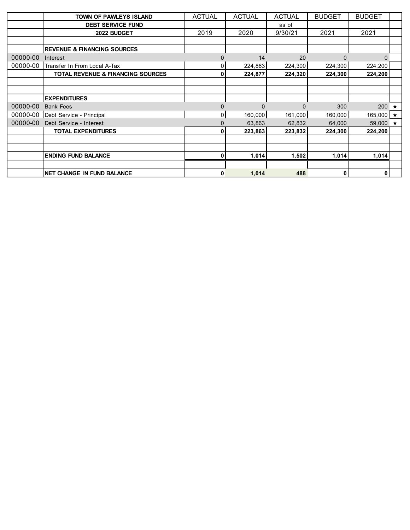|          | TOWN OF PAWLEYS ISLAND                 | <b>ACTUAL</b> | <b>ACTUAL</b> | <b>ACTUAL</b> | <b>BUDGET</b> | <b>BUDGET</b>   |  |
|----------|----------------------------------------|---------------|---------------|---------------|---------------|-----------------|--|
|          | <b>DEBT SERVICE FUND</b>               |               |               | as of         |               |                 |  |
|          | 2022 BUDGET                            | 2019          | 2020          | 9/30/21       | 2021          | 2021            |  |
|          |                                        |               |               |               |               |                 |  |
|          | <b>REVENUE &amp; FINANCING SOURCES</b> |               |               |               |               |                 |  |
| 00000-00 | Interest                               |               | 14            | 20            |               | $\Omega$        |  |
| 00000-00 | Transfer In From Local A-Tax           | 0             | 224,863       | 224,300       | 224,300       | 224,200         |  |
|          | TOTAL REVENUE & FINANCING SOURCES      | 0             | 224,877       | 224,320       | 224,300       | 224,200         |  |
|          |                                        |               |               |               |               |                 |  |
|          |                                        |               |               |               |               |                 |  |
|          | <b>EXPENDITURES</b>                    |               |               |               |               |                 |  |
| 00000-00 | <b>Bank Fees</b>                       | $\Omega$      | $\Omega$      |               | 300           | 200 $\star$     |  |
| 00000-00 | Debt Service - Principal               | 0             | 160,000       | 161,000       | 160,000       | 165,000 $\star$ |  |
| 00000-00 | Debt Service - Interest                |               | 63,863        | 62,832        | 64,000        | 59,000 $\star$  |  |
|          | <b>TOTAL EXPENDITURES</b>              | O             | 223,863       | 223,832       | 224,300       | 224,200         |  |
|          |                                        |               |               |               |               |                 |  |
|          |                                        |               |               |               |               |                 |  |
|          | <b>ENDING FUND BALANCE</b>             | 0             | 1,014         | 1,502         | 1,014         | 1,014           |  |
|          |                                        |               |               |               |               |                 |  |
|          | <b>NET CHANGE IN FUND BALANCE</b>      | 0             | 1,014         | 488           | 0             | 0               |  |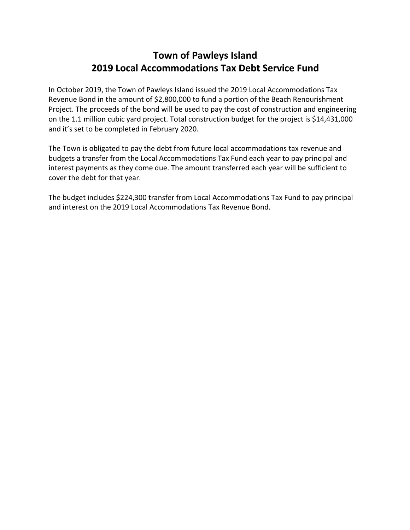## **Town of Pawleys Island 2019 Local Accommodations Tax Debt Service Fund**

In October 2019, the Town of Pawleys Island issued the 2019 Local Accommodations Tax Revenue Bond in the amount of \$2,800,000 to fund a portion of the Beach Renourishment Project. The proceeds of the bond will be used to pay the cost of construction and engineering on the 1.1 million cubic yard project. Total construction budget for the project is \$14,431,000 and it's set to be completed in February 2020.

The Town is obligated to pay the debt from future local accommodations tax revenue and budgets a transfer from the Local Accommodations Tax Fund each year to pay principal and interest payments as they come due. The amount transferred each year will be sufficient to cover the debt for that year.

The budget includes \$224,300 transfer from Local Accommodations Tax Fund to pay principal and interest on the 2019 Local Accommodations Tax Revenue Bond.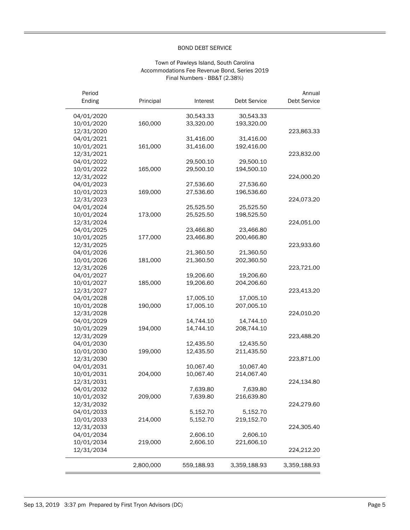#### BOND DEBT SERVICE

#### Town of Pawleys Island, South Carolina Accommodations Fee Revenue Bond, Series 2019 Final Numbers - BB&T (2.38%)

| Period<br>Ending | Principal | Interest   | <b>Debt Service</b> | Annual<br>Debt Service |
|------------------|-----------|------------|---------------------|------------------------|
|                  |           |            |                     |                        |
| 04/01/2020       |           | 30,543.33  | 30,543.33           |                        |
| 10/01/2020       | 160,000   | 33,320.00  | 193,320.00          |                        |
| 12/31/2020       |           |            |                     | 223,863.33             |
| 04/01/2021       |           | 31,416.00  | 31,416.00           |                        |
| 10/01/2021       | 161,000   | 31,416.00  | 192,416.00          |                        |
| 12/31/2021       |           |            |                     | 223,832.00             |
| 04/01/2022       |           | 29,500.10  | 29,500.10           |                        |
| 10/01/2022       | 165,000   | 29,500.10  | 194,500.10          |                        |
| 12/31/2022       |           |            |                     | 224,000.20             |
| 04/01/2023       |           | 27,536.60  | 27,536.60           |                        |
| 10/01/2023       | 169,000   | 27,536.60  | 196,536.60          |                        |
| 12/31/2023       |           |            |                     | 224,073.20             |
| 04/01/2024       |           | 25,525.50  | 25,525.50           |                        |
| 10/01/2024       | 173,000   | 25,525.50  | 198,525.50          |                        |
| 12/31/2024       |           |            |                     | 224,051.00             |
| 04/01/2025       |           | 23,466.80  | 23,466.80           |                        |
| 10/01/2025       | 177,000   | 23,466.80  | 200,466.80          |                        |
| 12/31/2025       |           |            |                     | 223,933.60             |
| 04/01/2026       |           | 21,360.50  | 21,360.50           |                        |
| 10/01/2026       | 181,000   | 21,360.50  | 202,360.50          |                        |
| 12/31/2026       |           |            |                     | 223,721.00             |
| 04/01/2027       |           | 19,206.60  | 19,206.60           |                        |
| 10/01/2027       | 185,000   | 19,206.60  | 204,206.60          |                        |
| 12/31/2027       |           |            |                     | 223,413.20             |
| 04/01/2028       |           | 17,005.10  | 17,005.10           |                        |
| 10/01/2028       | 190,000   | 17,005.10  | 207,005.10          |                        |
| 12/31/2028       |           |            |                     | 224,010.20             |
| 04/01/2029       |           | 14,744.10  | 14,744.10           |                        |
| 10/01/2029       | 194,000   | 14,744.10  | 208,744.10          |                        |
| 12/31/2029       |           |            |                     | 223,488.20             |
| 04/01/2030       |           | 12,435.50  | 12,435.50           |                        |
| 10/01/2030       | 199,000   | 12,435.50  | 211,435.50          |                        |
| 12/31/2030       |           |            |                     | 223,871.00             |
| 04/01/2031       |           | 10,067.40  | 10,067.40           |                        |
| 10/01/2031       | 204,000   | 10,067.40  | 214,067.40          |                        |
| 12/31/2031       |           |            |                     | 224,134.80             |
| 04/01/2032       |           | 7,639.80   | 7,639.80            |                        |
| 10/01/2032       | 209,000   | 7,639.80   | 216,639.80          |                        |
| 12/31/2032       |           |            |                     | 224,279.60             |
| 04/01/2033       |           | 5,152.70   | 5,152.70            |                        |
| 10/01/2033       | 214,000   | 5,152.70   | 219,152.70          |                        |
| 12/31/2033       |           |            |                     | 224,305.40             |
| 04/01/2034       |           | 2,606.10   | 2,606.10            |                        |
| 10/01/2034       | 219,000   | 2,606.10   | 221,606.10          |                        |
| 12/31/2034       |           |            |                     | 224,212.20             |
|                  | 2,800,000 | 559,188.93 | 3,359,188.93        | 3,359,188.93           |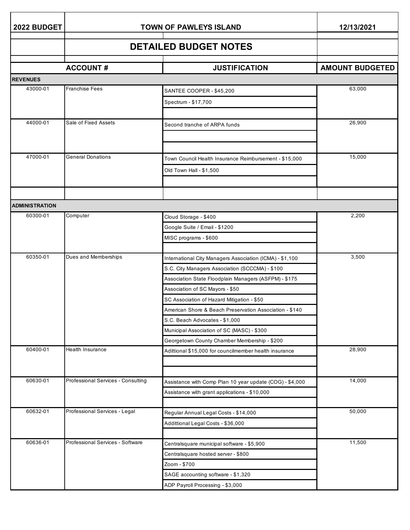| 2022 BUDGET           | <b>TOWN OF PAWLEYS ISLAND</b>      | 12/13/2021                                               |                        |
|-----------------------|------------------------------------|----------------------------------------------------------|------------------------|
|                       |                                    | <b>DETAILED BUDGET NOTES</b>                             |                        |
|                       | <b>ACCOUNT#</b>                    | <b>JUSTIFICATION</b>                                     | <b>AMOUNT BUDGETED</b> |
| <b>REVENUES</b>       |                                    |                                                          |                        |
| 43000-01              | <b>Franchise Fees</b>              | SANTEE COOPER - \$45,200                                 | 63,000                 |
|                       |                                    | Spectrum - \$17,700                                      |                        |
|                       |                                    |                                                          |                        |
| 44000-01              | Sale of Fixed Assets               | Second tranche of ARPA funds                             | 26,900                 |
|                       |                                    |                                                          |                        |
|                       |                                    |                                                          |                        |
| 47000-01              | <b>General Donations</b>           | Town Council Health Insurance Reimbursement - \$15,000   | 15,000                 |
|                       |                                    | Old Town Hall - \$1,500                                  |                        |
|                       |                                    |                                                          |                        |
|                       |                                    |                                                          |                        |
| <b>ADMINISTRATION</b> |                                    |                                                          |                        |
| 60300-01              | Computer                           | Cloud Storage - \$400                                    | 2,200                  |
|                       |                                    | Google Suite / Email - \$1200                            |                        |
|                       |                                    | MISC programs - \$600                                    |                        |
|                       |                                    |                                                          |                        |
| 60350-01              | Dues and Memberships               | International City Managers Association (ICMA) - \$1,100 | 3,500                  |
|                       |                                    | S.C. City Managers Association (SCCCMA) - \$100          |                        |
|                       |                                    | Association State Floodplain Managers (ASFPM) - \$175    |                        |
|                       |                                    | Association of SC Mayors - \$50                          |                        |
|                       |                                    | SC Association of Hazard Mitigation - \$50               |                        |
|                       |                                    | American Shore & Beach Preservation Association - \$140  |                        |
|                       |                                    | S.C. Beach Advocates - \$1,000                           |                        |
|                       |                                    | Municipal Association of SC (MASC) - \$300               |                        |
|                       |                                    | Georgetown County Chamber Membership - \$200             |                        |
| 60400-01              | Health Insurance                   | Adittional \$15,000 for councilmember health insurance   | 28,900                 |
|                       |                                    |                                                          |                        |
| 60630-01              | Professional Services - Consulting | Assistance with Comp Plan 10 year update (COG) - \$4,000 | 14,000                 |
|                       |                                    | Assistance with grant applications - \$10,000            |                        |
|                       |                                    |                                                          |                        |
| 60632-01              | Professional Services - Legal      | Regular Annual Legal Costs - \$14,000                    | 50,000                 |
|                       |                                    | Addittional Legal Costs - \$36,000                       |                        |
|                       |                                    |                                                          |                        |
| 60636-01              | Professional Services - Software   | Centralsquare municipal software - \$5,900               | 11,500                 |
|                       |                                    | Centralsquare hosted server - \$800                      |                        |
|                       |                                    | Zoom - \$700                                             |                        |
|                       |                                    | SAGE accounting software - \$1,320                       |                        |
|                       |                                    | ADP Payroll Processing - \$3,000                         |                        |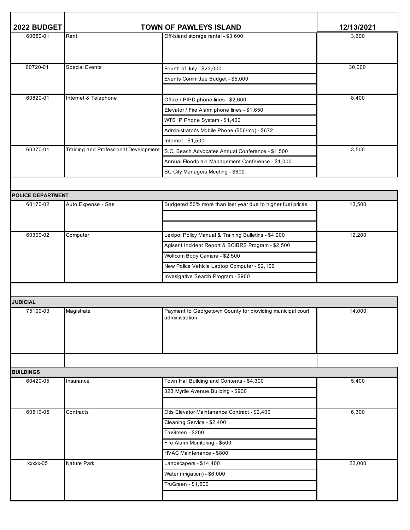| 2022 BUDGET                 | <b>TOWN OF PAWLEYS ISLAND</b>         |                                                            | 12/13/2021 |
|-----------------------------|---------------------------------------|------------------------------------------------------------|------------|
| 60650-01                    | Rent                                  | Off-island storage rental - \$3,600                        | 3,600      |
|                             |                                       |                                                            |            |
|                             |                                       |                                                            |            |
| 60720-01                    | <b>Special Events</b>                 | Fourth of July - \$23,000                                  | 30,000     |
|                             |                                       | Events Committee Budget - \$5,000                          |            |
|                             |                                       |                                                            |            |
| 60820-01                    | Internet & Telephone                  | Office / PIPD phone lines - \$2,600                        | 8,400      |
|                             |                                       | Elevator / Fire Alarm phone lines - \$1,650                |            |
|                             |                                       | WTS IP Phone System - \$1,400                              |            |
|                             |                                       | Administrator's Mobile Phone (\$56/mo) - \$672             |            |
|                             |                                       | Internet - \$1,500                                         |            |
| 60370-01                    | Training and Professional Development | S.C. Beach Advocates Annual Conference - \$1,500           | 3,500      |
|                             |                                       | Annual Floodplain Management Conference - \$1,000          |            |
|                             |                                       | SC City Managers Meeting - \$600                           |            |
|                             |                                       |                                                            |            |
| <b>POLICE DEPARTMENT</b>    |                                       |                                                            |            |
| 60170-02                    | Auto Expense - Gas                    | Budgeted 50% more than last year due to higher fuel prices | 13,500     |
|                             |                                       |                                                            |            |
|                             |                                       |                                                            |            |
| 60300-02                    | Computer                              | Lexipol Policy Manual & Training Bulletins - \$4,200       | 12,200     |
|                             |                                       | Agisent Incident Report & SCIBRS Program - \$2,500         |            |
|                             |                                       | Wolfcom Body Camera - \$2,500                              |            |
|                             |                                       | New Police Vehicle Laptop Computer - \$2,100               |            |
|                             |                                       | Invesigative Search Program - \$900                        |            |
|                             |                                       |                                                            |            |
|                             |                                       |                                                            |            |
| <b>JUDICIAL</b><br>75100-03 | Magistrate                            | Payment to Georgetown County for providing municipal court | 14,000     |
|                             |                                       | administration                                             |            |
|                             |                                       |                                                            |            |
|                             |                                       |                                                            |            |
|                             |                                       |                                                            |            |
|                             |                                       |                                                            |            |
| <b>BUILDINGS</b>            |                                       |                                                            |            |
| 60420-05                    | Insurance                             | Town Hall Building and Contents - \$4,300                  | 5,400      |
|                             |                                       | 323 Myrtle Avenue Building - \$900                         |            |
|                             |                                       |                                                            |            |
| 60510-05                    | Contracts                             | Otis Elevator Maintanance Contract - \$2,400               | 6,300      |
|                             |                                       | Cleaning Service - \$2,400                                 |            |
|                             |                                       | TruGreen - \$200                                           |            |
|                             |                                       | Fire Alarm Monitoring - \$500                              |            |
|                             |                                       | HVAC Maintenance - \$800                                   |            |
| xxxxx-05                    | Nature Park                           | Landscapers - \$14,400                                     | 22,000     |
|                             |                                       | Water (Irrigation) - \$6,000                               |            |
|                             |                                       | TruGreen - \$1,600                                         |            |
|                             |                                       |                                                            |            |
|                             |                                       |                                                            |            |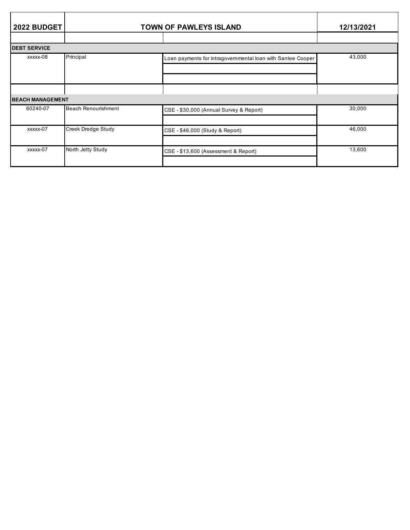| 2022 BUDGET             | <b>TOWN OF PAWLEYS ISLAND</b> |                                                             | 12/13/2021 |
|-------------------------|-------------------------------|-------------------------------------------------------------|------------|
|                         |                               |                                                             |            |
| <b>DEBT SERVICE</b>     |                               |                                                             |            |
| xxxxx-08                | Principal                     | Loan payments for intragovernmental loan with Santee Cooper | 43,000     |
|                         |                               |                                                             |            |
| <b>BEACH MANAGEMENT</b> |                               |                                                             |            |
| 60240-07                | Beach Renourishment           | CSE - \$30,000 (Annual Survey & Report)                     | 30,000     |
| xxxxx-07                | Creek Dredge Study            | CSE - \$46,000 (Study & Report)                             | 46,000     |
| xxxxx-07                | North Jetty Study             | CSE - \$13,600 (Assessment & Report)                        | 13,600     |